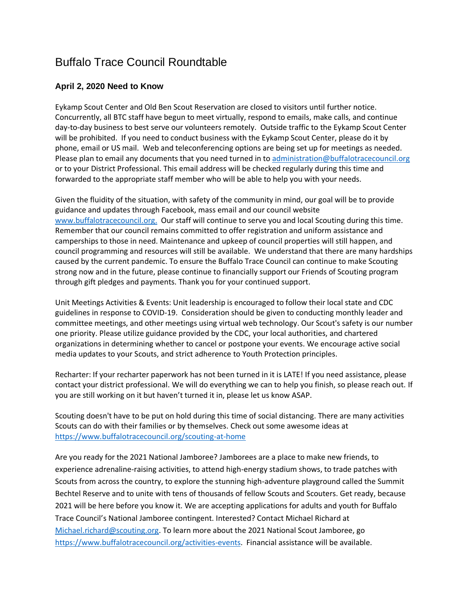## Buffalo Trace Council Roundtable

## **April 2, 2020 Need to Know**

Eykamp Scout Center and Old Ben Scout Reservation are closed to visitors until further notice. Concurrently, all BTC staff have begun to meet virtually, respond to emails, make calls, and continue day-to-day business to best serve our volunteers remotely. Outside traffic to the Eykamp Scout Center will be prohibited. If you need to conduct business with the Eykamp Scout Center, please do it by phone, email or US mail. Web and teleconferencing options are being set up for meetings as needed. Please plan to email any documents that you need turned in to [administration@buffalotracecouncil.org](mailto:administration@buffalotracecouncil.org) or to your District Professional. This email address will be checked regularly during this time and forwarded to the appropriate staff member who will be able to help you with your needs.

Given the fluidity of the situation, with safety of the community in mind, our goal will be to provide guidance and updates through Facebook, mass email and our council website [www.buffalotracecouncil.org.](http://www.buffalotracecouncil.org/) Our staff will continue to serve you and local Scouting during this time. Remember that our council remains committed to offer registration and uniform assistance and camperships to those in need. Maintenance and upkeep of council properties will still happen, and council programming and resources will still be available. We understand that there are many hardships caused by the current pandemic. To ensure the Buffalo Trace Council can continue to make Scouting strong now and in the future, please continue to financially support our Friends of Scouting program through gift pledges and payments. Thank you for your continued support.

Unit Meetings Activities & Events: Unit leadership is encouraged to follow their local state and CDC guidelines in response to COVID-19. Consideration should be given to conducting monthly leader and committee meetings, and other meetings using virtual web technology. Our Scout's safety is our number one priority. Please utilize guidance provided by the CDC, your local authorities, and chartered organizations in determining whether to cancel or postpone your events. We encourage active social media updates to your Scouts, and strict adherence to Youth Protection principles.

Recharter: If your recharter paperwork has not been turned in it is LATE! If you need assistance, please contact your district professional. We will do everything we can to help you finish, so please reach out. If you are still working on it but haven't turned it in, please let us know ASAP.

Scouting doesn't have to be put on hold during this time of social distancing. There are many activities Scouts can do with their families or by themselves. Check out some awesome ideas at <https://www.buffalotracecouncil.org/scouting-at-home>

Are you ready for the 2021 National Jamboree? Jamborees are a place to make new friends, to experience adrenaline-raising activities, to attend high-energy stadium shows, to trade patches with Scouts from across the country, to explore the stunning high-adventure playground called the Summit Bechtel Reserve and to unite with tens of thousands of fellow Scouts and Scouters. Get ready, because 2021 will be here before you know it. We are accepting applications for adults and youth for Buffalo Trace Council's National Jamboree contingent. Interested? Contact Michael Richard at [Michael.richard@scouting.org.](mailto:Michael.richard@scouting.org) To learn more about the 2021 National Scout Jamboree, go [https://www.buffalotracecouncil.org/activities-events.](https://www.buffalotracecouncil.org/activities-events) Financial assistance will be available.